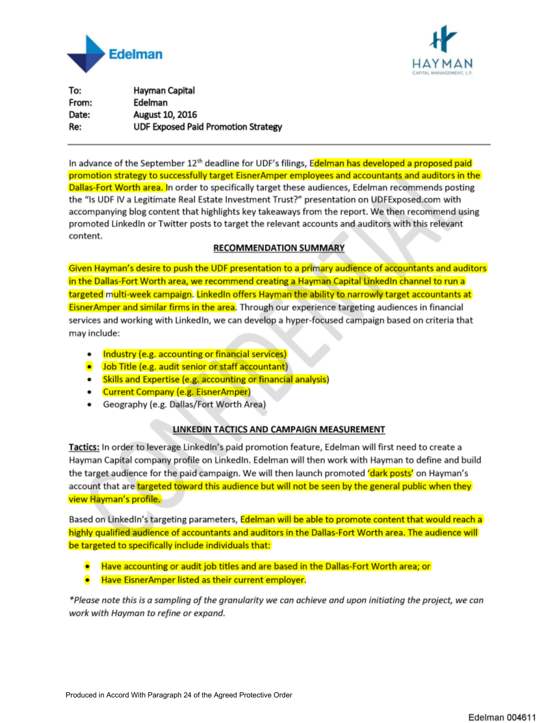



To: Hayman Capital From: Edelman Date: August 10, 2016 Re: **UDF Exposed Paid Promotion Strategy** 

In advance of the September 12<sup>th</sup> deadline for UDF's filings, Edelman has developed a proposed paid promotion strategy to successfully target EisnerAmper employees and accountants and auditors in the Dallas-Fort Worth area. In order to specifically target these audiences, Edelman recommends posting the "Is UDF IV a Legitimate Real Estate Investment Trust?" presentation on UDFExposed.com with accompanying blog content that highlights key takeaways from the report. We then recommend using promoted LinkedIn or Twitter posts to target the relevant accounts and auditors with this relevant content.

#### **RECOMMENDATION SUMMARY**

Given Hayman's desire to push the UDF presentation to a primary audience of accountants and auditors in the Dallas-Fort Worth area, we recommend creating a Hayman Capital LinkedIn channel to run a targeted multi-week campaign. LinkedIn offers Hayman the ability to narrowly target accountants at Eisner Amper and similar firms in the area. Through our experience targeting audiences in financial services and working with LinkedIn, we can develop a hyper-focused campaign based on criteria that may include:

- Industry (e.g. accounting or financial services)
- . Job Title (e.g. audit senior or staff accountant)
- Skills and Expertise (e.g. accounting or financial analysis)
- Current Company (e.g. EisnerAmper)
- Geography (e.g. Dallas/Fort Worth Area)

#### LINKEDIN TACTICS AND CAMPAIGN MEASUREMENT

Tactics: In order to leverage LinkedIn's paid promotion feature, Edelman will first need to create a Hayman Capital company profile on LinkedIn. Edelman will then work with Hayman to define and build the target audience for the paid campaign. We will then launch promoted 'dark posts' on Hayman's account that are targeted toward this audience but will not be seen by the general public when they view Hayman's profile.

Based on LinkedIn's targeting parameters, Edelman will be able to promote content that would reach a highly qualified audience of accountants and auditors in the Dallas-Fort Worth area. The audience will be targeted to specifically include individuals that:

- $\bullet$  Have accounting or audit job titles and are based in the Dallas-Fort Worth area; or
- **Have EisnerAmper listed as their current employer.**

\*Please note this is a sampling of the granularity we can achieve and upon initiating the project, we can work with Hayman to refine or expand.